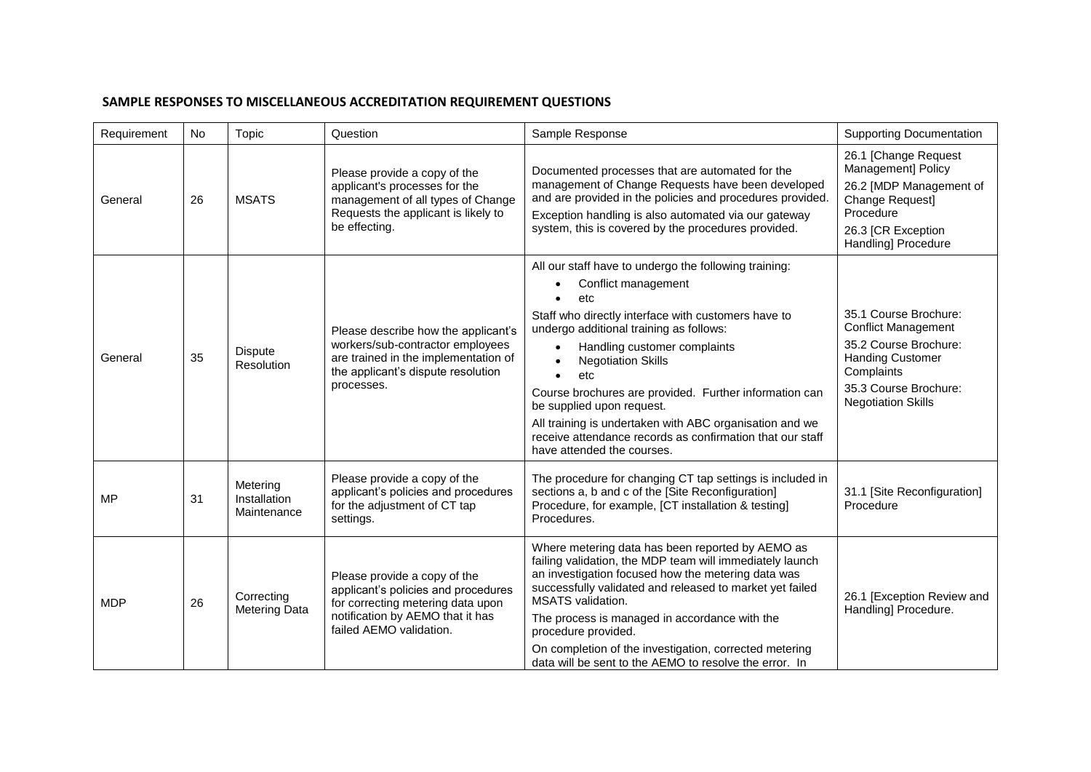## **SAMPLE RESPONSES TO MISCELLANEOUS ACCREDITATION REQUIREMENT QUESTIONS**

| Requirement | No | Topic                                   | Question                                                                                                                                                                | Sample Response                                                                                                                                                                                                                                                                                                                                                                                                                                                                                                                               | <b>Supporting Documentation</b>                                                                                                                                             |
|-------------|----|-----------------------------------------|-------------------------------------------------------------------------------------------------------------------------------------------------------------------------|-----------------------------------------------------------------------------------------------------------------------------------------------------------------------------------------------------------------------------------------------------------------------------------------------------------------------------------------------------------------------------------------------------------------------------------------------------------------------------------------------------------------------------------------------|-----------------------------------------------------------------------------------------------------------------------------------------------------------------------------|
| General     | 26 | <b>MSATS</b>                            | Please provide a copy of the<br>applicant's processes for the<br>management of all types of Change<br>Requests the applicant is likely to<br>be effecting.              | Documented processes that are automated for the<br>management of Change Requests have been developed<br>and are provided in the policies and procedures provided.<br>Exception handling is also automated via our gateway<br>system, this is covered by the procedures provided.                                                                                                                                                                                                                                                              | 26.1 [Change Request<br><b>Management] Policy</b><br>26.2 [MDP Management of<br>Change Request]<br>Procedure<br>26.3 [CR Exception<br>Handling] Procedure                   |
| General     | 35 | <b>Dispute</b><br>Resolution            | Please describe how the applicant's<br>workers/sub-contractor employees<br>are trained in the implementation of<br>the applicant's dispute resolution<br>processes.     | All our staff have to undergo the following training:<br>Conflict management<br>etc<br>Staff who directly interface with customers have to<br>undergo additional training as follows:<br>Handling customer complaints<br>$\bullet$<br><b>Negotiation Skills</b><br>$\bullet$<br>etc<br>$\bullet$<br>Course brochures are provided. Further information can<br>be supplied upon request.<br>All training is undertaken with ABC organisation and we<br>receive attendance records as confirmation that our staff<br>have attended the courses. | 35.1 Course Brochure:<br><b>Conflict Management</b><br>35.2 Course Brochure:<br><b>Handing Customer</b><br>Complaints<br>35.3 Course Brochure:<br><b>Negotiation Skills</b> |
| <b>MP</b>   | 31 | Metering<br>Installation<br>Maintenance | Please provide a copy of the<br>applicant's policies and procedures<br>for the adjustment of CT tap<br>settings.                                                        | The procedure for changing CT tap settings is included in<br>sections a, b and c of the [Site Reconfiguration]<br>Procedure, for example, [CT installation & testing]<br>Procedures.                                                                                                                                                                                                                                                                                                                                                          | 31.1 [Site Reconfiguration]<br>Procedure                                                                                                                                    |
| <b>MDP</b>  | 26 | Correcting<br><b>Metering Data</b>      | Please provide a copy of the<br>applicant's policies and procedures<br>for correcting metering data upon<br>notification by AEMO that it has<br>failed AEMO validation. | Where metering data has been reported by AEMO as<br>failing validation, the MDP team will immediately launch<br>an investigation focused how the metering data was<br>successfully validated and released to market yet failed<br>MSATS validation.<br>The process is managed in accordance with the<br>procedure provided.<br>On completion of the investigation, corrected metering<br>data will be sent to the AEMO to resolve the error. In                                                                                               | 26.1 [Exception Review and<br>Handling] Procedure.                                                                                                                          |